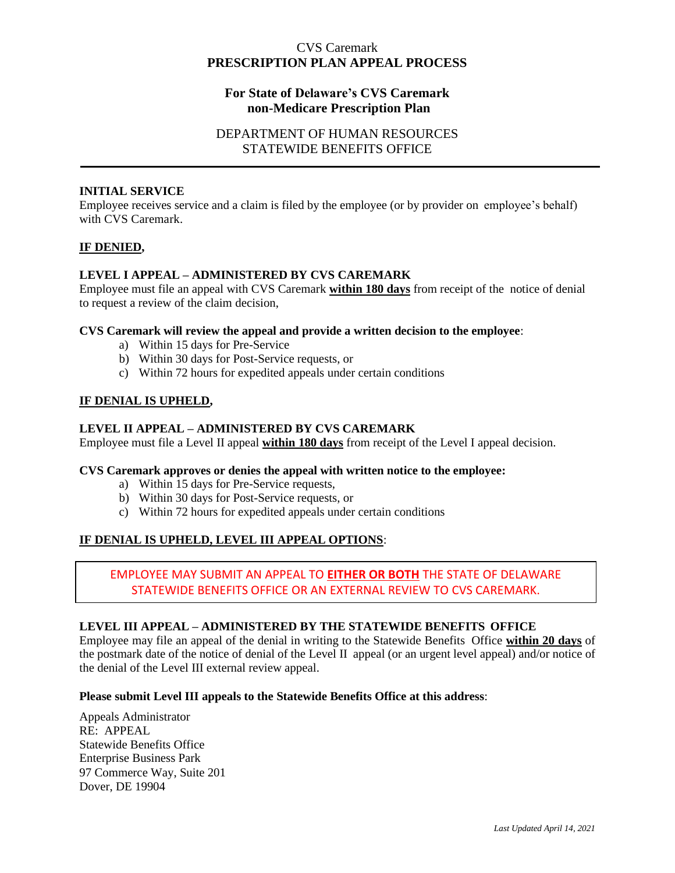# CVS Caremark **PRESCRIPTION PLAN APPEAL PROCESS**

# **For State of Delaware's CVS Caremark non-Medicare Prescription Plan**

# DEPARTMENT OF HUMAN RESOURCES STATEWIDE BENEFITS OFFICE

### **INITIAL SERVICE**

Employee receives service and a claim is filed by the employee (or by provider on employee's behalf) with CVS Caremark.

### **IF DENIED,**

### **LEVEL I APPEAL – ADMINISTERED BY CVS CAREMARK**

Employee must file an appeal with CVS Caremark **within 180 days** from receipt of the notice of denial to request a review of the claim decision,

### **CVS Caremark will review the appeal and provide a written decision to the employee**:

- a) Within 15 days for Pre-Service
- b) Within 30 days for Post-Service requests, or
- c) Within 72 hours for expedited appeals under certain conditions

### **IF DENIAL IS UPHELD,**

### **LEVEL II APPEAL – ADMINISTERED BY CVS CAREMARK**

Employee must file a Level II appeal **within 180 days** from receipt of the Level I appeal decision.

### **CVS Caremark approves or denies the appeal with written notice to the employee:**

- a) Within 15 days for Pre-Service requests,
- b) Within 30 days for Post-Service requests, or
- c) Within 72 hours for expedited appeals under certain conditions

# **IF DENIAL IS UPHELD, LEVEL III APPEAL OPTIONS**:

# EMPLOYEE MAY SUBMIT AN APPEAL TO **EITHER OR BOTH** THE STATE OF DELAWARE STATEWIDE BENEFITS OFFICE OR AN EXTERNAL REVIEW TO CVS CAREMARK.

### **LEVEL III APPEAL – ADMINISTERED BY THE STATEWIDE BENEFITS OFFICE**

Employee may file an appeal of the denial in writing to the Statewide Benefits Office **within 20 days** of the postmark date of the notice of denial of the Level II appeal (or an urgent level appeal) and/or notice of the denial of the Level III external review appeal.

#### **Please submit Level III appeals to the Statewide Benefits Office at this address**:

Appeals Administrator RE: APPEAL Statewide Benefits Office Enterprise Business Park 97 Commerce Way, Suite 201 Dover, DE 19904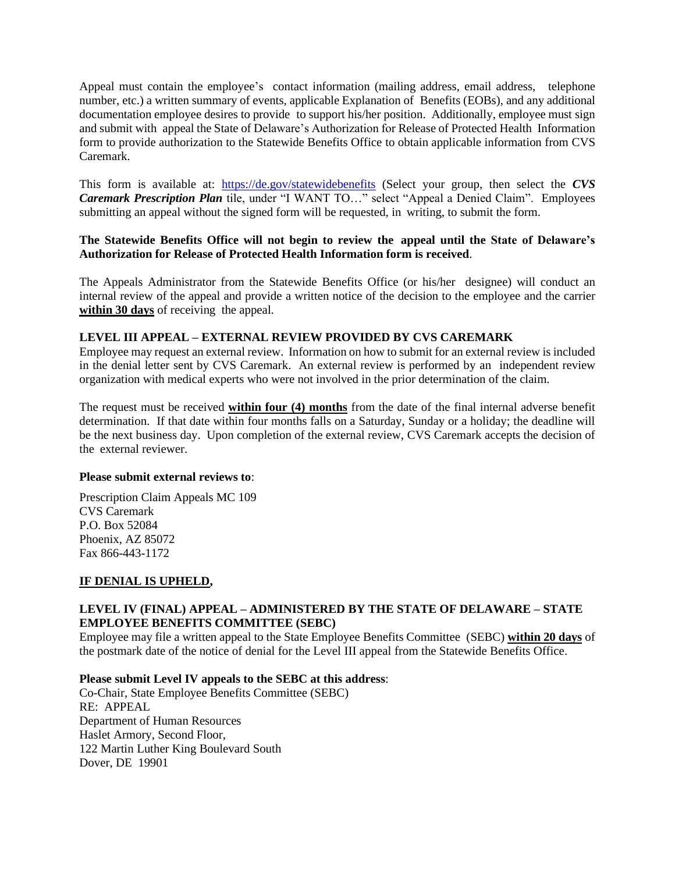Appeal must contain the employee's contact information (mailing address, email address, telephone number, etc.) a written summary of events, applicable Explanation of Benefits (EOBs), and any additional documentation employee desires to provide to support his/her position. Additionally, employee must sign and submit with appeal the State of Delaware's Authorization for Release of Protected Health Information form to provide authorization to the Statewide Benefits Office to obtain applicable information from CVS Caremark.

This form is available at: <https://de.gov/statewidebenefits> (Select your group, then select the *CVS Caremark Prescription Plan* tile, under "I WANT TO…" select "Appeal a Denied Claim". Employees submitting an appeal without the signed form will be requested, in writing, to submit the form.

### **The Statewide Benefits Office will not begin to review the appeal until the State of Delaware's Authorization for Release of Protected Health Information form is received**.

The Appeals Administrator from the Statewide Benefits Office (or his/her designee) will conduct an internal review of the appeal and provide a written notice of the decision to the employee and the carrier **within 30 days** of receiving the appeal.

### **LEVEL III APPEAL – EXTERNAL REVIEW PROVIDED BY CVS CAREMARK**

Employee may request an external review. Information on how to submit for an external review is included in the denial letter sent by CVS Caremark. An external review is performed by an independent review organization with medical experts who were not involved in the prior determination of the claim.

The request must be received **within four (4) months** from the date of the final internal adverse benefit determination. If that date within four months falls on a Saturday, Sunday or a holiday; the deadline will be the next business day. Upon completion of the external review, CVS Caremark accepts the decision of the external reviewer.

#### **Please submit external reviews to**:

Prescription Claim Appeals MC 109 CVS Caremark P.O. Box 52084 Phoenix, AZ 85072 Fax 866-443-1172

### **IF DENIAL IS UPHELD,**

### **LEVEL IV (FINAL) APPEAL – ADMINISTERED BY THE STATE OF DELAWARE – STATE EMPLOYEE BENEFITS COMMITTEE (SEBC)**

Employee may file a written appeal to the State Employee Benefits Committee (SEBC) **within 20 days** of the postmark date of the notice of denial for the Level III appeal from the Statewide Benefits Office.

### **Please submit Level IV appeals to the SEBC at this address**:

Co-Chair, State Employee Benefits Committee (SEBC) RE: APPEAL Department of Human Resources Haslet Armory, Second Floor, 122 Martin Luther King Boulevard South Dover, DE 19901